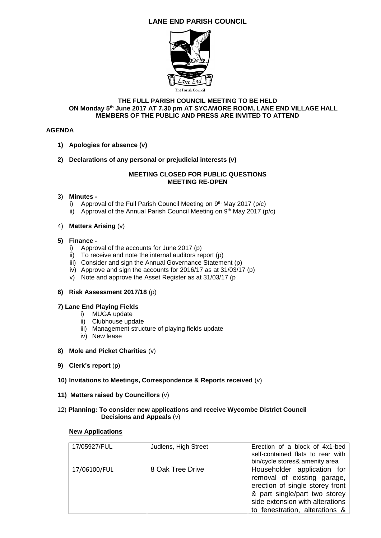## **LANE END PARISH COUNCIL**



#### **THE FULL PARISH COUNCIL MEETING TO BE HELD ON Monday 5th June 2017 AT 7.30 pm AT SYCAMORE ROOM, LANE END VILLAGE HALL MEMBERS OF THE PUBLIC AND PRESS ARE INVITED TO ATTEND**

## **AGENDA**

- **1) Apologies for absence (v)**
- **2) Declarations of any personal or prejudicial interests (v)**

## **MEETING CLOSED FOR PUBLIC QUESTIONS MEETING RE-OPEN**

## 3) **Minutes -**

- i) Approval of the Full Parish Council Meeting on 9<sup>th</sup> May 2017 (p/c)
- ii) Approval of the Annual Parish Council Meeting on  $9<sup>th</sup>$  May 2017 (p/c)

## 4) **Matters Arising** (v)

#### **5) Finance -**

- i) Approval of the accounts for June 2017 (p)
- ii) To receive and note the internal auditors report (p)
- iii) Consider and sign the Annual Governance Statement (p)
- iv) Approve and sign the accounts for 2016/17 as at 31/03/17 (p)
- v) Note and approve the Asset Register as at 31/03/17 (p

## **6) Risk Assessment 2017/18** (p)

## **7) Lane End Playing Fields**

- i) MUGA update
- ii) Clubhouse update
- iii) Management structure of playing fields update
- iv) New lease
- **8) Mole and Picket Charities** (v)
- **9) Clerk's report** (p)
- **10) Invitations to Meetings, Correspondence & Reports received** (v)
- **11) Matters raised by Councillors** (v)

## 12) **Planning: To consider new applications and receive Wycombe District Council Decisions and Appeals** (v)

#### **New Applications**

| 17/05927/FUL | Judlens, High Street | Erection of a block of 4x1-bed<br>self-contained flats to rear with<br>bin/cycle stores& amenity area                                                                                               |
|--------------|----------------------|-----------------------------------------------------------------------------------------------------------------------------------------------------------------------------------------------------|
| 17/06100/FUL | 8 Oak Tree Drive     | Householder application for<br>removal of existing garage,<br>erection of single storey front<br>& part single/part two storey<br>side extension with alterations<br>to fenestration, alterations & |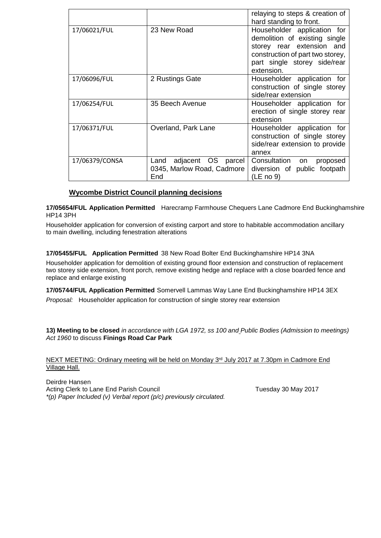|                |                                                                 | relaying to steps & creation of<br>hard standing to front.                                                                                                                  |
|----------------|-----------------------------------------------------------------|-----------------------------------------------------------------------------------------------------------------------------------------------------------------------------|
| 17/06021/FUL   | 23 New Road                                                     | Householder application for<br>demolition of existing single<br>storey rear extension and<br>construction of part two storey,<br>part single storey side/rear<br>extension. |
| 17/06096/FUL   | 2 Rustings Gate                                                 | Householder application for<br>construction of single storey<br>side/rear extension                                                                                         |
| 17/06254/FUL   | 35 Beech Avenue                                                 | Householder application for<br>erection of single storey rear<br>extension                                                                                                  |
| 17/06371/FUL   | Overland, Park Lane                                             | Householder application for<br>construction of single storey<br>side/rear extension to provide<br>annex                                                                     |
| 17/06379/CONSA | adjacent OS parcel<br>Land<br>0345, Marlow Road, Cadmore<br>End | Consultation<br>on<br>proposed<br>diversion of public footpath<br>(LE no 9)                                                                                                 |

## **Wycombe District Council planning decisions**

**17/05654/FUL Application Permitted** Harecramp Farmhouse Chequers Lane Cadmore End Buckinghamshire HP14 3PH

Householder application for conversion of existing carport and store to habitable accommodation ancillary to main dwelling, including fenestration alterations

## **17/05455/FUL Application Permitted** 38 New Road Bolter End Buckinghamshire HP14 3NA

Householder application for demolition of existing ground floor extension and construction of replacement two storey side extension, front porch, remove existing hedge and replace with a close boarded fence and replace and enlarge existing

**17/05744/FUL Application Permitted** Somervell Lammas Way Lane End Buckinghamshire HP14 3EX *Proposal:* Householder application for construction of single storey rear extension

**13) Meeting to be closed** *in accordance with LGA 1972, ss 100 and Public Bodies (Admission to meetings) Act 1960* to discuss **Finings Road Car Park**

NEXT MEETING: Ordinary meeting will be held on Monday 3<sup>rd</sup> July 2017 at 7.30pm in Cadmore End Village Hall.

Deirdre Hansen Acting Clerk to Lane End Parish Council **Tuesday 30 May 2017** *\*(p) Paper Included (v) Verbal report (p/c) previously circulated.*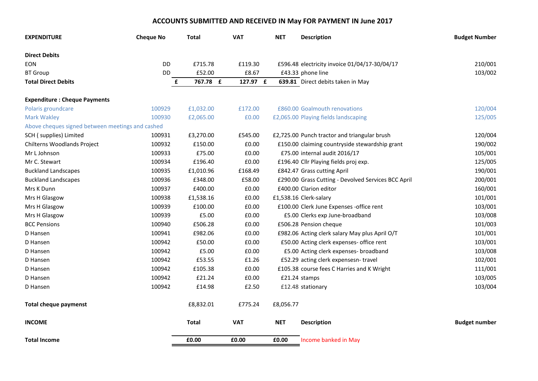# **ACCOUNTS SUBMITTED AND RECEIVED IN May FOR PAYMENT IN June 2017**

| <b>EXPENDITURE</b>                               | <b>Cheque No</b> | <b>Total</b> | <b>VAT</b> | <b>NET</b> | <b>Description</b>                                  | <b>Budget Number</b> |
|--------------------------------------------------|------------------|--------------|------------|------------|-----------------------------------------------------|----------------------|
| <b>Direct Debits</b>                             |                  |              |            |            |                                                     |                      |
| <b>EON</b>                                       | <b>DD</b>        | £715.78      | £119.30    |            | £596.48 electricity invoice 01/04/17-30/04/17       | 210/001              |
| <b>BT</b> Group                                  | DD               | £52.00       | £8.67      |            | £43.33 phone line                                   | 103/002              |
| <b>Total Direct Debits</b>                       | £                | 767.78 £     | 127.97 £   |            | 639.81 Direct debits taken in May                   |                      |
| <b>Expenditure: Cheque Payments</b>              |                  |              |            |            |                                                     |                      |
| Polaris groundcare                               | 100929           | £1,032.00    | £172.00    |            | £860.00 Goalmouth renovations                       | 120/004              |
| <b>Mark Wakley</b>                               | 100930           | £2,065.00    | £0.00      |            | £2,065.00 Playing fields landscaping                | 125/005              |
| Above cheques signed between meetings and cashed |                  |              |            |            |                                                     |                      |
| SCH (supplies) Limited                           | 100931           | £3,270.00    | £545.00    |            | £2,725.00 Punch tractor and triangular brush        | 120/004              |
| Chilterns Woodlands Project                      | 100932           | £150.00      | £0.00      |            | £150.00 claiming countryside stewardship grant      | 190/002              |
| Mr L Johnson                                     | 100933           | £75.00       | £0.00      |            | £75.00 internal audit 2016/17                       | 105/001              |
| Mr C. Stewart                                    | 100934           | £196.40      | £0.00      |            | £196.40 Cllr Playing fields proj exp.               | 125/005              |
| <b>Buckland Landscapes</b>                       | 100935           | £1,010.96    | £168.49    |            | £842.47 Grass cutting April                         | 190/001              |
| <b>Buckland Landscapes</b>                       | 100936           | £348.00      | £58.00     |            | £290.00 Grass Cutting - Devolved Services BCC April | 200/001              |
| Mrs K Dunn                                       | 100937           | £400.00      | £0.00      |            | £400.00 Clarion editor                              | 160/001              |
| Mrs H Glasgow                                    | 100938           | £1,538.16    | £0.00      |            | £1,538.16 Clerk-salary                              | 101/001              |
| Mrs H Glasgow                                    | 100939           | £100.00      | £0.00      |            | £100.00 Clerk June Expenses - office rent           | 103/001              |
| Mrs H Glasgow                                    | 100939           | £5.00        | £0.00      |            | £5.00 Clerks exp June-broadband                     | 103/008              |
| <b>BCC Pensions</b>                              | 100940           | £506.28      | £0.00      |            | £506.28 Pension cheque                              | 101/003              |
| D Hansen                                         | 100941           | £982.06      | £0.00      |            | £982.06 Acting clerk salary May plus April O/T      | 101/001              |
| D Hansen                                         | 100942           | £50.00       | £0.00      |            | £50.00 Acting clerk expenses- office rent           | 103/001              |
| D Hansen                                         | 100942           | £5.00        | £0.00      |            | £5.00 Acting clerk expenses- broadband              | 103/008              |
| D Hansen                                         | 100942           | £53.55       | £1.26      |            | £52.29 acting clerk expensesn-travel                | 102/001              |
| D Hansen                                         | 100942           | £105.38      | £0.00      |            | £105.38 course fees C Harries and K Wright          | 111/001              |
| D Hansen                                         | 100942           | £21.24       | £0.00      |            | £21.24 stamps                                       | 103/005              |
| D Hansen                                         | 100942           | £14.98       | £2.50      |            | £12.48 stationary                                   | 103/004              |
| <b>Total cheque paymenst</b>                     |                  | £8,832.01    | £775.24    | £8,056.77  |                                                     |                      |
| <b>INCOME</b>                                    |                  | <b>Total</b> | <b>VAT</b> | <b>NET</b> | <b>Description</b>                                  | <b>Budget number</b> |
| <b>Total Income</b>                              |                  | £0.00        | £0.00      | £0.00      | Income banked in May                                |                      |